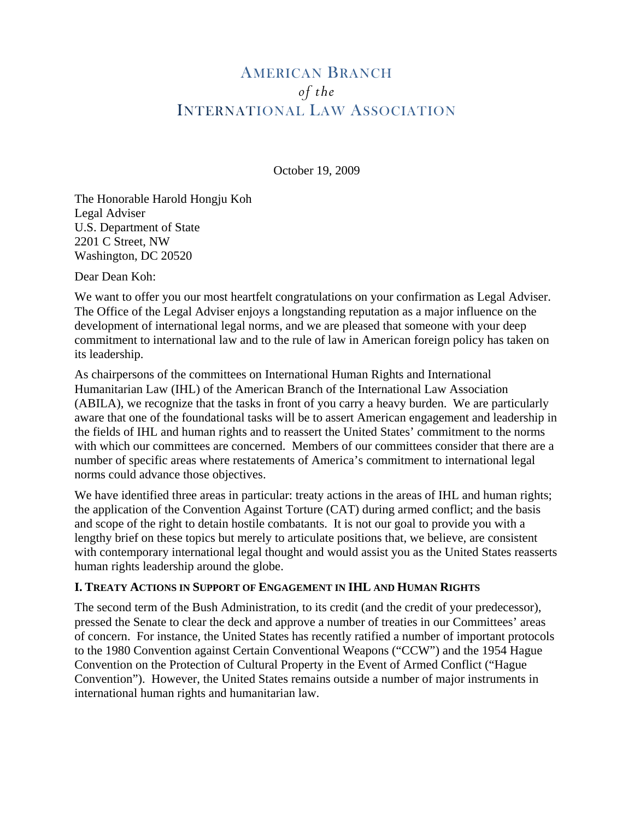# AMERICAN BRANCH *of the*  INTERNATIONAL LAW ASSOCIATION

October 19, 2009

The Honorable Harold Hongju Koh Legal Adviser U.S. Department of State 2201 C Street, NW Washington, DC 20520

Dear Dean Koh:

We want to offer you our most heartfelt congratulations on your confirmation as Legal Adviser. The Office of the Legal Adviser enjoys a longstanding reputation as a major influence on the development of international legal norms, and we are pleased that someone with your deep commitment to international law and to the rule of law in American foreign policy has taken on its leadership.

As chairpersons of the committees on International Human Rights and International Humanitarian Law (IHL) of the American Branch of the International Law Association (ABILA), we recognize that the tasks in front of you carry a heavy burden. We are particularly aware that one of the foundational tasks will be to assert American engagement and leadership in the fields of IHL and human rights and to reassert the United States' commitment to the norms with which our committees are concerned. Members of our committees consider that there are a number of specific areas where restatements of America's commitment to international legal norms could advance those objectives.

We have identified three areas in particular: treaty actions in the areas of IHL and human rights; the application of the Convention Against Torture (CAT) during armed conflict; and the basis and scope of the right to detain hostile combatants. It is not our goal to provide you with a lengthy brief on these topics but merely to articulate positions that, we believe, are consistent with contemporary international legal thought and would assist you as the United States reasserts human rights leadership around the globe.

### **I. TREATY ACTIONS IN SUPPORT OF ENGAGEMENT IN IHL AND HUMAN RIGHTS**

The second term of the Bush Administration, to its credit (and the credit of your predecessor), pressed the Senate to clear the deck and approve a number of treaties in our Committees' areas of concern. For instance, the United States has recently ratified a number of important protocols to the 1980 Convention against Certain Conventional Weapons ("CCW") and the 1954 Hague Convention on the Protection of Cultural Property in the Event of Armed Conflict ("Hague Convention"). However, the United States remains outside a number of major instruments in international human rights and humanitarian law.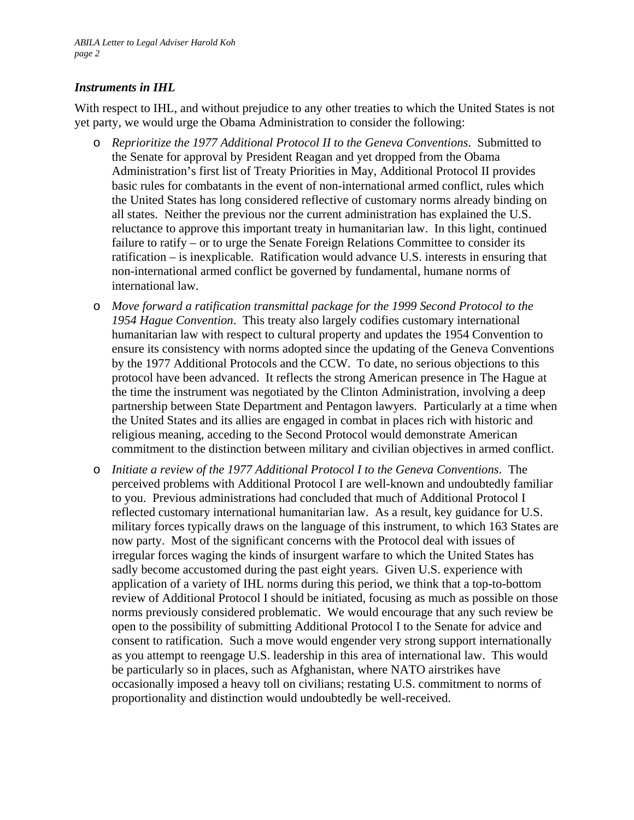## *Instruments in IHL*

With respect to IHL, and without prejudice to any other treaties to which the United States is not yet party, we would urge the Obama Administration to consider the following:

- o *Reprioritize the 1977 Additional Protocol II to the Geneva Conventions*. Submitted to the Senate for approval by President Reagan and yet dropped from the Obama Administration's first list of Treaty Priorities in May, Additional Protocol II provides basic rules for combatants in the event of non-international armed conflict, rules which the United States has long considered reflective of customary norms already binding on all states. Neither the previous nor the current administration has explained the U.S. reluctance to approve this important treaty in humanitarian law. In this light, continued failure to ratify – or to urge the Senate Foreign Relations Committee to consider its ratification – is inexplicable. Ratification would advance U.S. interests in ensuring that non-international armed conflict be governed by fundamental, humane norms of international law.
- o *Move forward a ratification transmittal package for the 1999 Second Protocol to the 1954 Hague Convention*. This treaty also largely codifies customary international humanitarian law with respect to cultural property and updates the 1954 Convention to ensure its consistency with norms adopted since the updating of the Geneva Conventions by the 1977 Additional Protocols and the CCW. To date, no serious objections to this protocol have been advanced. It reflects the strong American presence in The Hague at the time the instrument was negotiated by the Clinton Administration, involving a deep partnership between State Department and Pentagon lawyers. Particularly at a time when the United States and its allies are engaged in combat in places rich with historic and religious meaning, acceding to the Second Protocol would demonstrate American commitment to the distinction between military and civilian objectives in armed conflict.
- o *Initiate a review of the 1977 Additional Protocol I to the Geneva Conventions*. The perceived problems with Additional Protocol I are well-known and undoubtedly familiar to you. Previous administrations had concluded that much of Additional Protocol I reflected customary international humanitarian law. As a result, key guidance for U.S. military forces typically draws on the language of this instrument, to which 163 States are now party. Most of the significant concerns with the Protocol deal with issues of irregular forces waging the kinds of insurgent warfare to which the United States has sadly become accustomed during the past eight years. Given U.S. experience with application of a variety of IHL norms during this period, we think that a top-to-bottom review of Additional Protocol I should be initiated, focusing as much as possible on those norms previously considered problematic. We would encourage that any such review be open to the possibility of submitting Additional Protocol I to the Senate for advice and consent to ratification. Such a move would engender very strong support internationally as you attempt to reengage U.S. leadership in this area of international law. This would be particularly so in places, such as Afghanistan, where NATO airstrikes have occasionally imposed a heavy toll on civilians; restating U.S. commitment to norms of proportionality and distinction would undoubtedly be well-received.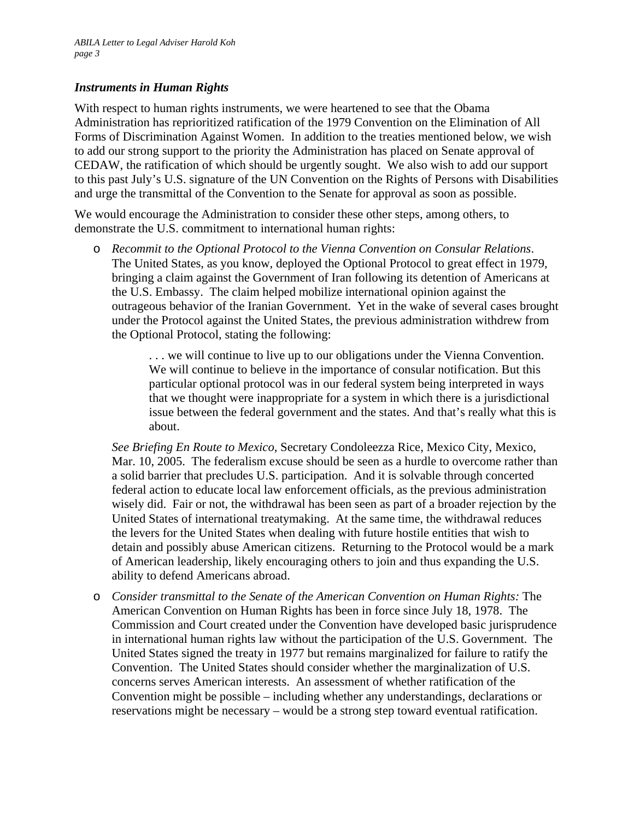#### *Instruments in Human Rights*

With respect to human rights instruments, we were heartened to see that the Obama Administration has reprioritized ratification of the 1979 Convention on the Elimination of All Forms of Discrimination Against Women. In addition to the treaties mentioned below, we wish to add our strong support to the priority the Administration has placed on Senate approval of CEDAW, the ratification of which should be urgently sought. We also wish to add our support to this past July's U.S. signature of the UN Convention on the Rights of Persons with Disabilities and urge the transmittal of the Convention to the Senate for approval as soon as possible.

We would encourage the Administration to consider these other steps, among others, to demonstrate the U.S. commitment to international human rights:

o *Recommit to the Optional Protocol to the Vienna Convention on Consular Relations*. The United States, as you know, deployed the Optional Protocol to great effect in 1979, bringing a claim against the Government of Iran following its detention of Americans at the U.S. Embassy. The claim helped mobilize international opinion against the outrageous behavior of the Iranian Government. Yet in the wake of several cases brought under the Protocol against the United States, the previous administration withdrew from the Optional Protocol, stating the following:

> . . . we will continue to live up to our obligations under the Vienna Convention. We will continue to believe in the importance of consular notification. But this particular optional protocol was in our federal system being interpreted in ways that we thought were inappropriate for a system in which there is a jurisdictional issue between the federal government and the states. And that's really what this is about.

*See Briefing En Route to Mexico*, Secretary Condoleezza Rice, Mexico City, Mexico, Mar. 10, 2005. The federalism excuse should be seen as a hurdle to overcome rather than a solid barrier that precludes U.S. participation. And it is solvable through concerted federal action to educate local law enforcement officials, as the previous administration wisely did. Fair or not, the withdrawal has been seen as part of a broader rejection by the United States of international treatymaking. At the same time, the withdrawal reduces the levers for the United States when dealing with future hostile entities that wish to detain and possibly abuse American citizens. Returning to the Protocol would be a mark of American leadership, likely encouraging others to join and thus expanding the U.S. ability to defend Americans abroad.

o *Consider transmittal to the Senate of the American Convention on Human Rights:* The American Convention on Human Rights has been in force since July 18, 1978. The Commission and Court created under the Convention have developed basic jurisprudence in international human rights law without the participation of the U.S. Government. The United States signed the treaty in 1977 but remains marginalized for failure to ratify the Convention. The United States should consider whether the marginalization of U.S. concerns serves American interests. An assessment of whether ratification of the Convention might be possible – including whether any understandings, declarations or reservations might be necessary – would be a strong step toward eventual ratification.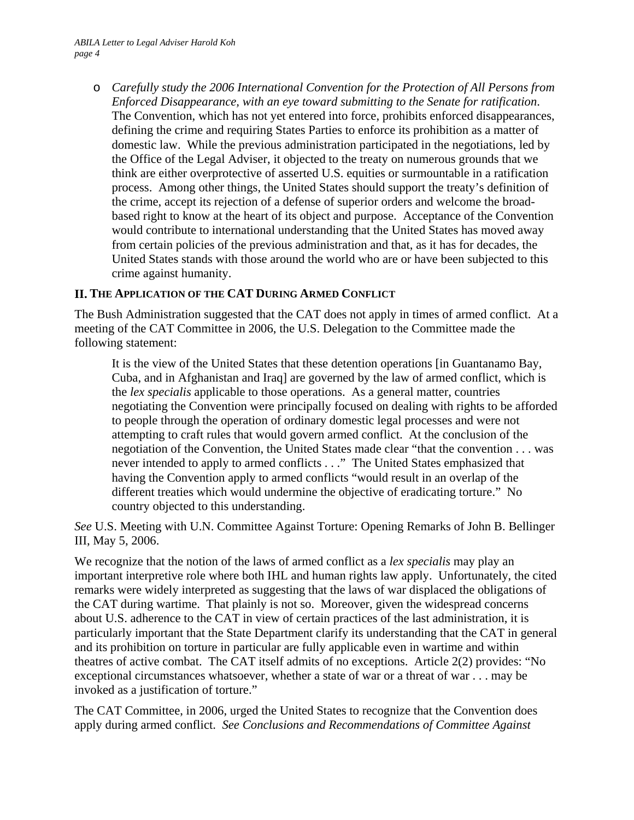o *Carefully study the 2006 International Convention for the Protection of All Persons from Enforced Disappearance, with an eye toward submitting to the Senate for ratification*. The Convention, which has not yet entered into force, prohibits enforced disappearances, defining the crime and requiring States Parties to enforce its prohibition as a matter of domestic law. While the previous administration participated in the negotiations, led by the Office of the Legal Adviser, it objected to the treaty on numerous grounds that we think are either overprotective of asserted U.S. equities or surmountable in a ratification process. Among other things, the United States should support the treaty's definition of the crime, accept its rejection of a defense of superior orders and welcome the broadbased right to know at the heart of its object and purpose. Acceptance of the Convention would contribute to international understanding that the United States has moved away from certain policies of the previous administration and that, as it has for decades, the United States stands with those around the world who are or have been subjected to this crime against humanity.

#### **II. THE APPLICATION OF THE CAT DURING ARMED CONFLICT**

The Bush Administration suggested that the CAT does not apply in times of armed conflict. At a meeting of the CAT Committee in 2006, the U.S. Delegation to the Committee made the following statement:

It is the view of the United States that these detention operations [in Guantanamo Bay, Cuba, and in Afghanistan and Iraq] are governed by the law of armed conflict, which is the *lex specialis* applicable to those operations. As a general matter, countries negotiating the Convention were principally focused on dealing with rights to be afforded to people through the operation of ordinary domestic legal processes and were not attempting to craft rules that would govern armed conflict. At the conclusion of the negotiation of the Convention, the United States made clear "that the convention . . . was never intended to apply to armed conflicts . . ." The United States emphasized that having the Convention apply to armed conflicts "would result in an overlap of the different treaties which would undermine the objective of eradicating torture." No country objected to this understanding.

*See* U.S. Meeting with U.N. Committee Against Torture: Opening Remarks of John B. Bellinger III, May 5, 2006.

We recognize that the notion of the laws of armed conflict as a *lex specialis* may play an important interpretive role where both IHL and human rights law apply. Unfortunately, the cited remarks were widely interpreted as suggesting that the laws of war displaced the obligations of the CAT during wartime. That plainly is not so. Moreover, given the widespread concerns about U.S. adherence to the CAT in view of certain practices of the last administration, it is particularly important that the State Department clarify its understanding that the CAT in general and its prohibition on torture in particular are fully applicable even in wartime and within theatres of active combat. The CAT itself admits of no exceptions. Article 2(2) provides: "No exceptional circumstances whatsoever, whether a state of war or a threat of war . . . may be invoked as a justification of torture."

The CAT Committee, in 2006, urged the United States to recognize that the Convention does apply during armed conflict. *See Conclusions and Recommendations of Committee Against*